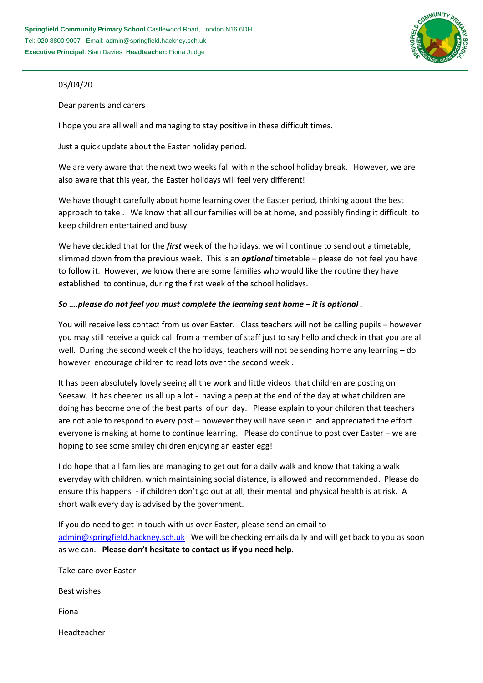

## 03/04/20

Dear parents and carers

I hope you are all well and managing to stay positive in these difficult times.

Just a quick update about the Easter holiday period.

We are very aware that the next two weeks fall within the school holiday break. However, we are also aware that this year, the Easter holidays will feel very different!

We have thought carefully about home learning over the Easter period, thinking about the best approach to take . We know that all our families will be at home, and possibly finding it difficult to keep children entertained and busy.

We have decided that for the *first* week of the holidays, we will continue to send out a timetable, slimmed down from the previous week. This is an *optional* timetable – please do not feel you have to follow it. However, we know there are some families who would like the routine they have established to continue, during the first week of the school holidays.

## *So ….please do not feel you must complete the learning sent home – it is optional .*

You will receive less contact from us over Easter. Class teachers will not be calling pupils – however you may still receive a quick call from a member of staff just to say hello and check in that you are all well. During the second week of the holidays, teachers will not be sending home any learning – do however encourage children to read lots over the second week .

It has been absolutely lovely seeing all the work and little videos that children are posting on Seesaw. It has cheered us all up a lot - having a peep at the end of the day at what children are doing has become one of the best parts of our day. Please explain to your children that teachers are not able to respond to every post – however they will have seen it and appreciated the effort everyone is making at home to continue learning. Please do continue to post over Easter – we are hoping to see some smiley children enjoying an easter egg!

I do hope that all families are managing to get out for a daily walk and know that taking a walk everyday with children, which maintaining social distance, is allowed and recommended. Please do ensure this happens - if children don't go out at all, their mental and physical health is at risk. A short walk every day is advised by the government.

If you do need to get in touch with us over Easter, please send an email to [admin@springfield.hackney.sch.uk](mailto:admin@springfield.hackney.sch.uk) We will be checking emails daily and will get back to you as soon as we can. **Please don't hesitate to contact us if you need help**.

| Take care over Easter |
|-----------------------|
| Best wishes           |
| Fiona                 |
| Headteacher           |